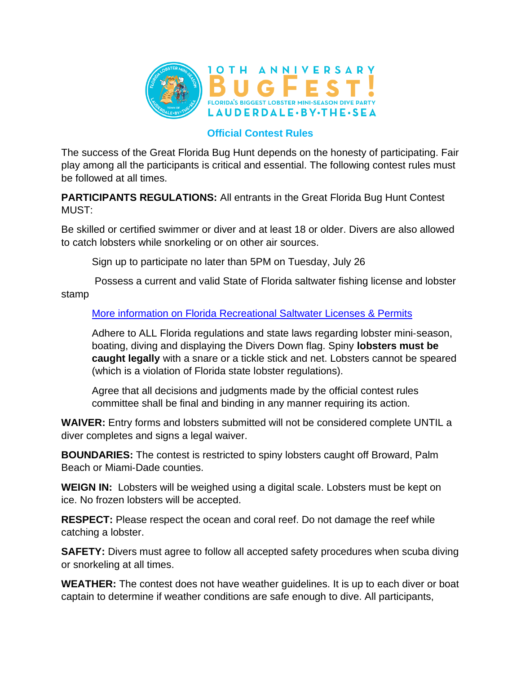

## **Official Contest Rules**

The success of the Great Florida Bug Hunt depends on the honesty of participating. Fair play among all the participants is critical and essential. The following contest rules must be followed at all times.

**PARTICIPANTS REGULATIONS:** All entrants in the Great Florida Bug Hunt Contest MUST:

Be skilled or certified swimmer or diver and at least 18 or older. Divers are also allowed to catch lobsters while snorkeling or on other air sources.

Sign up to participate no later than 5PM on Tuesday, July 26

Possess a current and valid State of Florida saltwater fishing license and lobster stamp

## [More information on Florida Recreational Saltwater Licenses & Permits](https://myfwc.com/license/recreational/saltwater-fishing/)

Adhere to ALL Florida regulations and state laws regarding lobster mini‐season, boating, diving and displaying the Divers Down flag. Spiny **lobsters must be caught legally** with a snare or a tickle stick and net. Lobsters cannot be speared (which is a violation of Florida state lobster regulations).

Agree that all decisions and judgments made by the official contest rules committee shall be final and binding in any manner requiring its action.

**WAIVER:** Entry forms and lobsters submitted will not be considered complete UNTIL a diver completes and signs a legal waiver.

**BOUNDARIES:** The contest is restricted to spiny lobsters caught off Broward, Palm Beach or Miami‐Dade counties.

**WEIGN IN:** Lobsters will be weighed using a digital scale. Lobsters must be kept on ice. No frozen lobsters will be accepted.

**RESPECT:** Please respect the ocean and coral reef. Do not damage the reef while catching a lobster.

**SAFETY:** Divers must agree to follow all accepted safety procedures when scuba diving or snorkeling at all times.

**WEATHER:** The contest does not have weather guidelines. It is up to each diver or boat captain to determine if weather conditions are safe enough to dive. All participants,